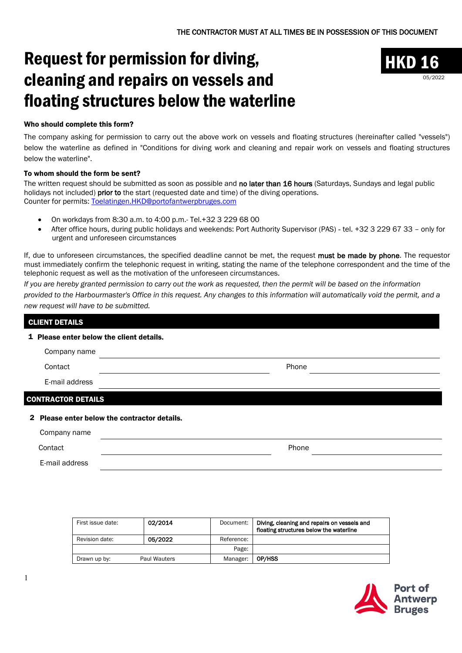# Request for permission for diving, cleaning and repairs on vessels and floating structures below the waterline



### Who should complete this form?

The company asking for permission to carry out the above work on vessels and floating structures (hereinafter called "vessels") below the waterline as defined in "Conditions for diving work and cleaning and repair work on vessels and floating structures below the waterline".

### To whom should the form be sent?

The written request should be submitted as soon as possible and no later than 16 hours (Saturdays, Sundays and legal public holidays not included) prior to the start (requested date and time) of the diving operations. Counter for permits: [Toelatingen.HKD@portofantwerpbruges.com](mailto:Toelatingen.HKD@portofantwerpbruges.com)

- On workdays from 8:30 a.m. to 4:00 p.m.- Tel.+32 3 229 68 00
- After office hours, during public holidays and weekends: Port Authority Supervisor (PAS) tel. +32 3 229 67 33 only for urgent and unforeseen circumstances

If, due to unforeseen circumstances, the specified deadline cannot be met, the request must be made by phone. The requestor must immediately confirm the telephonic request in writing, stating the name of the telephone correspondent and the time of the telephonic request as well as the motivation of the unforeseen circumstances.

*If you are hereby granted permission to carry out the work as requested, then the permit will be based on the information provided to the Harbourmaster's Office in this request. Any changes to this information will automatically void the permit, and a new request will have to be submitted.*

# CLIENT DETAILS 1 Please enter below the client details. Company name Contact **Phone** E-mail address CONTRACTOR DETAILS 2 Please enter below the contractor details. Company name Contact **Phone**

E-mail address

| First issue date: | 02/2014             | Document:  | Diving, cleaning and repairs on vessels and<br>floating structures below the waterline |
|-------------------|---------------------|------------|----------------------------------------------------------------------------------------|
| Revision date:    | 05/2022             | Reference: |                                                                                        |
|                   |                     | Page:      |                                                                                        |
| Drawn up by:      | <b>Paul Wauters</b> | Manager:   | OP/HSS                                                                                 |

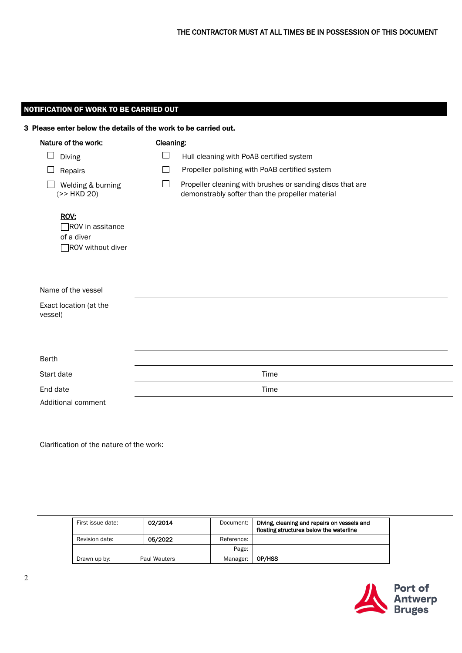## NOTIFICATION OF WORK TO BE CARRIED OUT

| Nature of the work:                                                | Cleaning: |                                                                                                              |
|--------------------------------------------------------------------|-----------|--------------------------------------------------------------------------------------------------------------|
| $\Box$<br>Diving                                                   | $\Box$    | Hull cleaning with PoAB certified system                                                                     |
| $\sqcup$<br>Repairs                                                | $\Box$    | Propeller polishing with PoAB certified system                                                               |
| Welding & burning<br>(>> HKD 20)                                   | $\Box$    | Propeller cleaning with brushes or sanding discs that are<br>demonstrably softer than the propeller material |
| ROV:<br>$\Box$ ROV in assitance<br>of a diver<br>ROV without diver |           |                                                                                                              |
| Name of the vessel                                                 |           |                                                                                                              |
| Exact location (at the<br>vessel)                                  |           |                                                                                                              |
| Berth                                                              |           |                                                                                                              |
| Start date                                                         | Time      |                                                                                                              |
| End date                                                           | Time      |                                                                                                              |
| Additional comment                                                 |           |                                                                                                              |

Clarification of the nature of the work:

| First issue date: | 02/2014      | Document:  | Diving, cleaning and repairs on vessels and<br>floating structures below the waterline |
|-------------------|--------------|------------|----------------------------------------------------------------------------------------|
| Revision date:    | 05/2022      | Reference: |                                                                                        |
|                   |              | Page:      |                                                                                        |
| Drawn up by:      | Paul Wauters | Manager:   | OP/HSS                                                                                 |